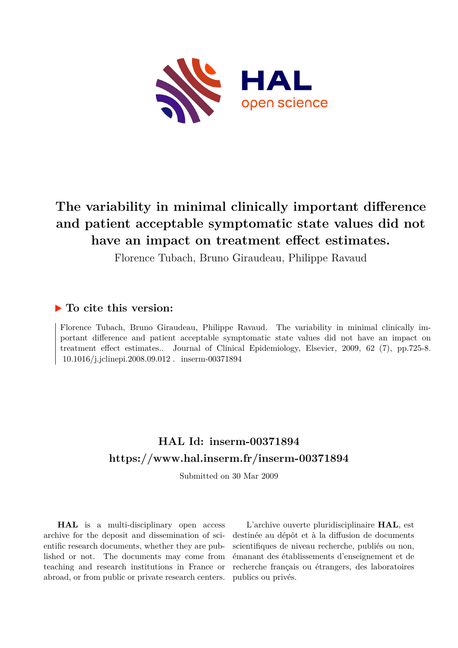

# **The variability in minimal clinically important difference and patient acceptable symptomatic state values did not have an impact on treatment effect estimates.**

Florence Tubach, Bruno Giraudeau, Philippe Ravaud

## **To cite this version:**

Florence Tubach, Bruno Giraudeau, Philippe Ravaud. The variability in minimal clinically important difference and patient acceptable symptomatic state values did not have an impact on treatment effect estimates.. Journal of Clinical Epidemiology, Elsevier, 2009, 62 (7), pp.725-8. 10.1016/j.jclinepi.2008.09.012. inserm-00371894

## **HAL Id: inserm-00371894 <https://www.hal.inserm.fr/inserm-00371894>**

Submitted on 30 Mar 2009

**HAL** is a multi-disciplinary open access archive for the deposit and dissemination of scientific research documents, whether they are published or not. The documents may come from teaching and research institutions in France or abroad, or from public or private research centers.

L'archive ouverte pluridisciplinaire **HAL**, est destinée au dépôt et à la diffusion de documents scientifiques de niveau recherche, publiés ou non, émanant des établissements d'enseignement et de recherche français ou étrangers, des laboratoires publics ou privés.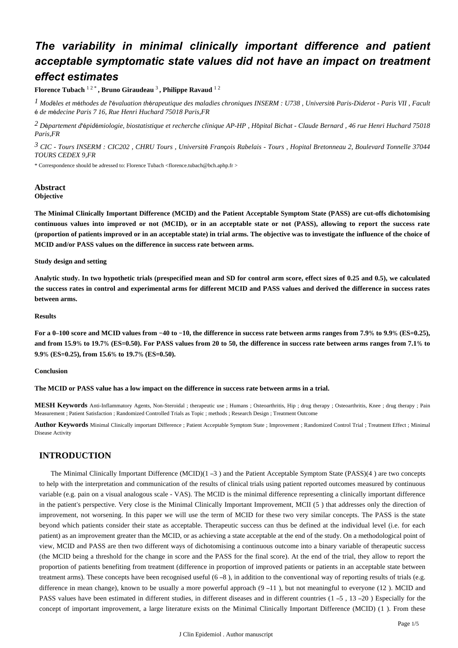## *The variability in minimal clinically important difference and patient acceptable symptomatic state values did not have an impact on treatment effect estimates*

**Florence Tubach** 1 2 \* **, Bruno Giraudeau** 3 **, Philippe Ravaud** 1 2

<sup>1</sup> Modèles et méthodes de l'évaluation thérapeutique des maladies chroniques INSERM : U738, Université Paris-Diderot - Paris VII, Facult é é *de m decine Paris 7 16, Rue Henri Huchard 75018 Paris,FR*

<sup>2</sup> Département d'épidémiologie, biostatistique et recherche clinique AP-HP, Hôpital Bichat - Claude Bernard, 46 rue Henri Huchard 75018 *Paris,FR*

<sup>3</sup> CIC - Tours INSERM : CIC202, CHRU Tours, Université François Rabelais - Tours, Hopital Bretonneau 2, Boulevard Tonnelle 37044 *TOURS CEDEX 9,FR*

\* Correspondence should be adressed to: Florence Tubach <florence.tubach@bch.aphp.fr >

#### **Abstract Objective**

**The Minimal Clinically Important Difference (MCID) and the Patient Acceptable Symptom State (PASS) are cut-offs dichotomising continuous values into improved or not (MCID), or in an acceptable state or not (PASS), allowing to report the success rate (proportion of patients improved or in an acceptable state) in trial arms. The objective was to investigate the influence of the choice of MCID and/or PASS values on the difference in success rate between arms.**

#### **Study design and setting**

**Analytic study. In two hypothetic trials (prespecified mean and SD for control arm score, effect sizes of 0.25 and 0.5), we calculated the success rates in control and experimental arms for different MCID and PASS values and derived the difference in success rates between arms.**

#### **Results**

For a 0–100 score and MCID values from -40 to -10, the difference in success rate between arms ranges from 7.9% to 9.9% (ES=0.25), and from 15.9% to 19.7% (ES=0.50). For PASS values from 20 to 50, the difference in success rate between arms ranges from 7.1% to **9.9% (ES=0.25), from 15.6% to 19.7% (ES=0.50).** 

#### **Conclusion**

#### **The MCID or PASS value has a low impact on the difference in success rate between arms in a trial.**

**MESH Keywords** Anti-Inflammatory Agents, Non-Steroidal ; therapeutic use ; Humans ; Osteoarthritis, Hip ; drug therapy ; Osteoarthritis, Knee ; drug therapy ; Pain Measurement ; Patient Satisfaction ; Randomized Controlled Trials as Topic ; methods ; Research Design ; Treatment Outcome

**Author Keywords** Minimal Clinically important Difference ; Patient Acceptable Symptom State ; Improvement ; Randomized Control Trial ; Treatment Effect ; Minimal Disease Activity

## **INTRODUCTION**

The Minimal Clinically Important Difference (MCID) $(1 -3)$  and the Patient Acceptable Symptom State (PASS) $(4)$  are two concepts to help with the interpretation and communication of the results of clinical trials using patient reported outcomes measured by continuous variable (e.g. pain on a visual analogous scale - VAS). The MCID is the minimal difference representing a clinically important difference in the patient's perspective. Very close is the Minimal Clinically Important Improvement, MCII (5) that addresses only the direction of improvement, not worsening. In this paper we will use the term of MCID for these two very similar concepts. The PASS is the state beyond which patients consider their state as acceptable. Therapeutic success can thus be defined at the individual level (i.e. for each patient) as an improvement greater than the MCID, or as achieving a state acceptable at the end of the study. On a methodological point of view, MCID and PASS are then two different ways of dichotomising a continuous outcome into a binary variable of therapeutic success (the MCID being a threshold for the change in score and the PASS for the final score). At the end of the trial, they allow to report the proportion of patients benefiting from treatment (difference in proportion of improved patients or patients in an acceptable state between treatment arms). These concepts have been recognised useful  $(6-8)$ , in addition to the conventional way of reporting results of trials (e.g. difference in mean change), known to be usually a more powerful approach  $(9 - 11)$ , but not meaningful to everyone (12). MCID and PASS values have been estimated in different studies, in different diseases and in different countries  $(1 - 5, 13 - 20)$  Especially for the concept of important improvement, a large literature exists on the Minimal Clinically Important Difference (MCID) (1). From these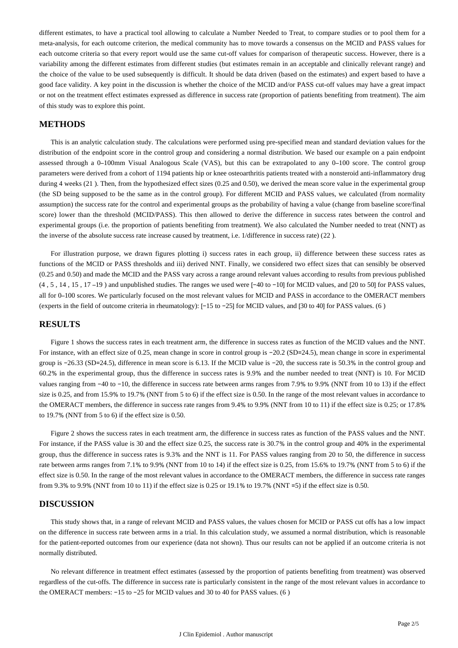different estimates, to have a practical tool allowing to calculate a Number Needed to Treat, to compare studies or to pool them for a meta-analysis, for each outcome criterion, the medical community has to move towards a consensus on the MCID and PASS values for each outcome criteria so that every report would use the same cut-off values for comparison of therapeutic success. However, there is a variability among the different estimates from different studies (but estimates remain in an acceptable and clinically relevant range) and the choice of the value to be used subsequently is difficult. It should be data driven (based on the estimates) and expert based to have a good face validity. A key point in the discussion is whether the choice of the MCID and/or PASS cut-off values may have a great impact or not on the treatment effect estimates expressed as difference in success rate (proportion of patients benefiting from treatment). The aim of this study was to explore this point.

## **METHODS**

This is an analytic calculation study. The calculations were performed using pre-specified mean and standard deviation values for the distribution of the endpoint score in the control group and considering a normal distribution. We based our example on a pain endpoint assessed through a 0-100mm Visual Analogous Scale (VAS), but this can be extrapolated to any 0-100 score. The control group parameters were derived from a cohort of 1194 patients hip or knee osteoarthritis patients treated with a nonsteroid anti-inflammatory drug during 4 weeks (21). Then, from the hypothesized effect sizes (0.25 and 0.50), we derived the mean score value in the experimental group (the SD being supposed to be the same as in the control group). For different MCID and PASS values, we calculated (from normality assumption) the success rate for the control and experimental groups as the probability of having a value (change from baseline score/final score) lower than the threshold (MCID/PASS). This then allowed to derive the difference in success rates between the control and experimental groups (i.e. the proportion of patients benefiting from treatment). We also calculated the Number needed to treat (NNT) as the inverse of the absolute success rate increase caused by treatment, i.e.  $1/d$  ifference in success rate) ( $22$ ).

For illustration purpose, we drawn figures plotting i) success rates in each group, ii) difference between these success rates as functions of the MCID or PASS thresholds and iii) derived NNT. Finally, we considered two effect sizes that can sensibly be observed (0.25 and 0.50) and made the MCID and the PASS vary across a range around relevant values according to results from previous published  $(4, 5, 14, 15, 17 - 19)$  and unpublished studies. The ranges we used were  $[-40$  to  $-10]$  for MCID values, and  $[20$  to 50] for PASS values, all for 0-100 scores. We particularly focused on the most relevant values for MCID and PASS in accordance to the OMERACT members (experts in the field of outcome criteria in rheumatology): [-15 to -25] for MCID values, and [30 to 40] for PASS values. (6)

## **RESULTS**

Figure 1 shows the success rates in each treatment arm, the difference in success rates as function of the MCID values and the NNT. For instance, with an effect size of 0.25, mean change in score in control group is -20.2 (SD=24.5), mean change in score in experimental group is -26.33 (SD=24.5), difference in mean score is 6.13. If the MCID value is -20, the success rate is 50.3% in the control group and 60.2% in the experimental group, thus the difference in success rates is 9.9% and the number needed to treat (NNT) is 10. For MCID values ranging from −40 to −10, the difference in success rate between arms ranges from 7.9% to 9.9% (NNT from 10 to 13) if the effect size is 0.25, and from 15.9% to 19.7% (NNT from 5 to 6) if the effect size is 0.50. In the range of the most relevant values in accordance to the OMERACT members, the difference in success rate ranges from 9.4% to 9.9% (NNT from 10 to 11) if the effect size is 0.25; or 17.8% to  $19.7\%$  (NNT from 5 to 6) if the effect size is 0.50.

Figure 2 shows the success rates in each treatment arm, the difference in success rates as function of the PASS values and the NNT. For instance, if the PASS value is 30 and the effect size 0.25, the success rate is 30.7% in the control group and 40% in the experimental group, thus the difference in success rates is 9.3 % and the NNT is 11. For PASS values ranging from 20 to 50, the difference in success rate between arms ranges from 7.1% to 9.9% (NNT from 10 to 14) if the effect size is 0.25, from 15.6% to 19.7% (NNT from 5 to 6) if the effect size is 0.50. In the range of the most relevant values in accordance to the OMERACT members, the difference in success rate ranges from 9.3% to 9.9% (NNT from 10 to 11) if the effect size is 0.25 or 19.1% to 19.7% (NNT =5) if the effect size is 0.50.

## **DISCUSSION**

This study shows that, in a range of relevant MCID and PASS values, the values chosen for MCID or PASS cut offs has a low impact on the difference in success rate between arms in a trial. In this calculation study, we assumed a normal distribution, which is reasonable for the patient-reported outcomes from our experience (data not shown). Thus our results can not be applied if an outcome criteria is not normally distributed.

No relevant difference in treatment effect estimates (assessed by the proportion of patients benefiting from treatment) was observed regardless of the cut-offs. The difference in success rate is particularly consistent in the range of the most relevant values in accordance to the OMERACT members:  $-15$  to  $-25$  for MCID values and 30 to 40 for PASS values. (6)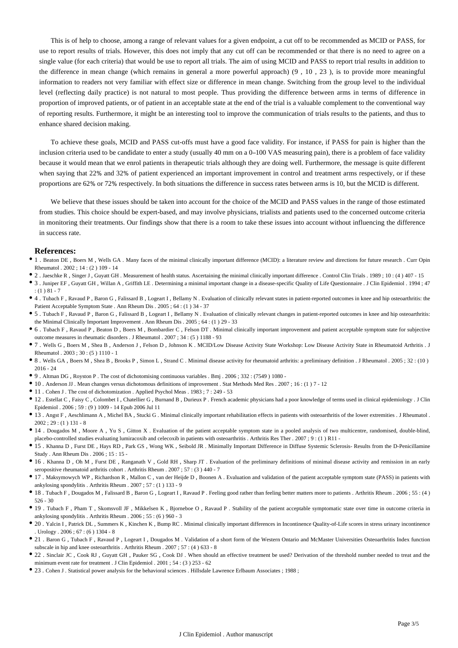This is of help to choose, among a range of relevant values for a given endpoint, a cut off to be recommended as MCID or PASS, for use to report results of trials. However, this does not imply that any cut off can be recommended or that there is no need to agree on a single value (for each criteria) that would be use to report all trials. The aim of using MCID and PASS to report trial results in addition to the difference in mean change (which remains in general a more powerful approach)  $(9, 10, 23)$ , is to provide more meaningful information to readers not very familiar with effect size or difference in mean change. Switching from the group level to the individual level (reflecting daily practice) is not natural to most people. Thus providing the difference between arms in terms of difference in proportion of improved patients, or of patient in an acceptable state at the end of the trial is a valuable complement to the conventional way of reporting results. Furthermore, it might be an interesting tool to improve the communication of trials results to the patients, and thus to enhance shared decision making.

To achieve these goals, MCID and PASS cut-offs must have a good face validity. For instance, if PASS for pain is higher than the inclusion criteria used to be candidate to enter a study (usually 40 mm on a 0–100 VAS measuring pain), there is a problem of face validity because it would mean that we enrol patients in therapeutic trials although they are doing well. Furthermore, the message is quite different when saying that 22% and 32% of patient experienced an important improvement in control and treatment arms respectively, or if these proportions are 62% or 72% respectively. In both situations the difference in success rates between arms is 10, but the MCID is different.

We believe that these issues should be taken into account for the choice of the MCID and PASS values in the range of those estimated from studies. This choice should be expert-based, and may involve physicians, trialists and patients used to the concerned outcome criteria in monitoring their treatments. Our findings show that there is a room to take these issues into account without influencing the difference in success rate.

#### **References:**

- 1 . Beaton DE , Boers M , Wells GA . Many faces of the minimal clinically important difference (MCID): a literature review and directions for future research . Curr Opin Rheumatol . 2002 ; 14 : (2 ) 109 - 14
- 2 . Jaeschke R , Singer J , Guyatt GH . Measurement of health status. Ascertaining the minimal clinically important difference . Control Clin Trials . 1989 ; 10 : (4 ) 407 15
- <sup>•</sup> 3. Juniper EF, Guyatt GH, Willan A, Griffith LE. Determining a minimal important change in a disease-specific Quality of Life Questionnaire . J Clin Epidemiol . 1994 : 47  $: (1)$  81 - 7
- 4 . Tubach F , Ravaud P , Baron G , Falissard B , Logeart I , Bellamy N . Evaluation of clinically relevant states in patient-reported outcomes in knee and hip osteoarthritis: the Patient Acceptable Symptom State . Ann Rheum Dis . 2005 ; 64 : (1 ) 34 - 37
- 5 . Tubach F , Ravaud P , Baron G , Falissard B , Logeart I , Bellamy N . Evaluation of clinically relevant changes in patient-reported outcomes in knee and hip osteoarthritis: the Minimal Clinically Important Improvement . Ann Rheum Dis . 2005 ; 64 : (1 ) 29 - 33
- 6 . Tubach F , Ravaud P , Beaton D , Boers M , Bombardier C , Felson DT . Minimal clinically important improvement and patient acceptable symptom state for subjective outcome measures in rheumatic disorders . J Rheumatol .  $2007 \cdot 34 \cdot (5)$  1188 - 93
- 7 . Wells G , Boers M , Shea B , Anderson J , Felson D , Johnson K . MCID/Low Disease Activity State Workshop: Low Disease Activity State in Rheumatoid Arthritis . J Rheumatol . 2003 ; 30 : (5 ) 1110 - 1
- 8 . Wells GA , Boers M , Shea B , Brooks P , Simon L , Strand C . Minimal disease activity for rheumatoid arthritis: a preliminary definition . J Rheumatol . 2005 ; 32 : ( 10 ) 2016 - 24
- 9 . Altman DG , Royston P . The cost of dichotomising continuous variables . Bmj . 2006 ; 332 : (7549 ) 1080 -
- 10 . Anderson JJ . Mean changes versus dichotomous definitions of improvement . Stat Methods Med Res . 2007 ; 16 : (1 ) 7 12
- $\bullet$  11 . Cohen J . The cost of dichotomization . Applied Psychol Meas . 1983 ; 7 : 249 53
- 12 . Estellat C , Faisy C , Colombet I , Chatellier G , Burnand B , Durieux P . French academic physicians had a poor knowledge of terms used in clinical epidemiology . J Clin Epidemiol . 2006 ; 59 : (9 ) 1009 - 14 Epub 2006 Jul 11
- 13 . Angst F , Aeschlimann A , Michel BA , Stucki G . Minimal clinically important rehabilitation effects in patients with osteoarthritis of the lower extremities . J Rheumatol .  $2002:29: (1) 131 - 8$
- 14 . Dougados M , Moore A , Yu S , Gitton X . Evaluation of the patient acceptable symptom state in a pooled analysis of two multicentre, randomised, double-blind, placebo-controlled studies evaluating lumiracoxib and celecoxib in patients with osteoarthritis . Arthritis Res Ther . 2007 ; 9 : (1) R11 -
- 15 . Khanna D , Furst DE , Hays RD , Park GS , Wong WK , Seibold JR . Minimally Important Difference in Diffuse Systemic Sclerosis- Results from the D-Penicillamine Study . Ann Rheum Dis . 2006 ; 15 : 15 -
- 16 . Khanna D , Oh M , Furst DE , Ranganath V , Gold RH , Sharp JT . Evaluation of the preliminary definitions of minimal disease activity and remission in an early seropositive rheumatoid arthritis cohort . Arthritis Rheum . 2007 ; 57 : (3 ) 440 - 7
- 17 . Maksymowych WP , Richardson R , Mallon C , van der Heijde D , Boonen A . Evaluation and validation of the patient acceptable symptom state (PASS) in patients with ankylosing spondylitis . Arthritis Rheum . 2007 ; 57 : (1 ) 133 - 9
- 18 . Tubach F , Dougados M , Falissard B , Baron G , Logeart I , Ravaud P . Feeling good rather than feeling better matters more to patients . Arthritis Rheum . 2006 ; 55 : (4 ) 526 - 30
- 19 . Tubach F , Pham T , Skomsvoll JF , Mikkelsen K , Bjorneboe O , Ravaud P . Stability of the patient acceptable symptomatic state over time in outcome criteria in ankylosing spondylitis . Arthritis Rheum . 2006 ; 55 : (6 ) 960 - 3
- 20 . Yalcin I , Patrick DL , Summers K , Kinchen K , Bump RC . Minimal clinically important differences in Incontinence Quality-of-Life scores in stress urinary incontinence . Urology . 2006 ; 67 : (6 ) 1304 - 8
- 21 . Baron G , Tubach F , Ravaud P , Logeart I , Dougados M . Validation of a short form of the Western Ontario and McMaster Universities Osteoarthritis Index function subscale in hip and knee osteoarthritis . Arthritis Rheum . 2007 ; 57 : (4 ) 633 - 8
- 22 . Sinclair JC , Cook RJ , Guyatt GH , Pauker SG , Cook DJ . When should an effective treatment be used? Derivation of the threshold number needed to treat and the minimum event rate for treatment . J Clin Epidemiol . 2001 ; 54 : (3 ) 253 - 62
- 23 . Cohen J . Statistical power analysis for the behavioral sciences . Hillsdale Lawrence Erlbaum Associates ; 1988 ;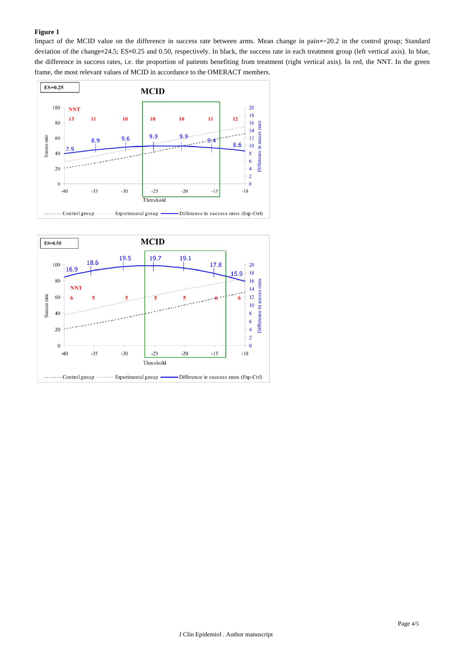### **Figure 1**

Impact of the MCID value on the difference in success rate between arms. Mean change in pain=-20.2 in the control group; Standard deviation of the change= $24.5$ ; ES= $0.25$  and 0.50, respectively. In black, the success rate in each treatment group (left vertical axis). In blue, the difference in success rates, i.e. the proportion of patients benefiting from treatment (right vertical axis). In red, the NNT. In the green frame, the most relevant values of MCID in accordance to the OMERACT members.